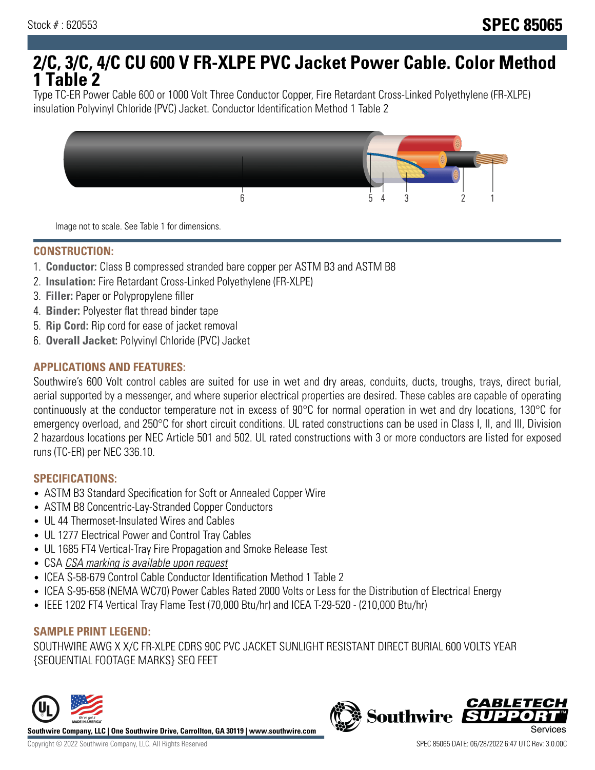# **2/C, 3/C, 4/C CU 600 V FR-XLPE PVC Jacket Power Cable. Color Method 1 Table 2**

Type TC-ER Power Cable 600 or 1000 Volt Three Conductor Copper, Fire Retardant Cross-Linked Polyethylene (FR-XLPE) insulation Polyvinyl Chloride (PVC) Jacket. Conductor Identification Method 1 Table 2



Image not to scale. See Table 1 for dimensions.

#### **CONSTRUCTION:**

- 1. **Conductor:** Class B compressed stranded bare copper per ASTM B3 and ASTM B8
- 2. **Insulation:** Fire Retardant Cross-Linked Polyethylene (FR-XLPE)
- 3. **Filler:** Paper or Polypropylene filler
- 4. **Binder:** Polyester flat thread binder tape
- 5. **Rip Cord:** Rip cord for ease of jacket removal
- 6. **Overall Jacket:** Polyvinyl Chloride (PVC) Jacket

## **APPLICATIONS AND FEATURES:**

Southwire's 600 Volt control cables are suited for use in wet and dry areas, conduits, ducts, troughs, trays, direct burial, aerial supported by a messenger, and where superior electrical properties are desired. These cables are capable of operating continuously at the conductor temperature not in excess of 90°C for normal operation in wet and dry locations, 130°C for emergency overload, and 250°C for short circuit conditions. UL rated constructions can be used in Class I, II, and III, Division 2 hazardous locations per NEC Article 501 and 502. UL rated constructions with 3 or more conductors are listed for exposed runs (TC-ER) per NEC 336.10.

#### **SPECIFICATIONS:**

- ASTM B3 Standard Specification for Soft or Annealed Copper Wire
- ASTM B8 Concentric-Lay-Stranded Copper Conductors
- UL 44 Thermoset-Insulated Wires and Cables
- UL 1277 Electrical Power and Control Tray Cables
- UL 1685 FT4 Vertical-Tray Fire Propagation and Smoke Release Test
- CSA CSA marking is available upon request
- ICEA S-58-679 Control Cable Conductor Identification Method 1 Table 2
- ICEA S-95-658 (NEMA WC70) Power Cables Rated 2000 Volts or Less for the Distribution of Electrical Energy
- IEEE 1202 FT4 Vertical Tray Flame Test (70,000 Btu/hr) and ICEA T-29-520 (210,000 Btu/hr)

#### **SAMPLE PRINT LEGEND:**

SOUTHWIRE AWG X X/C FR-XLPE CDRS 90C PVC JACKET SUNLIGHT RESISTANT DIRECT BURIAL 600 VOLTS YEAR {SEQUENTIAL FOOTAGE MARKS} SEQ FEET